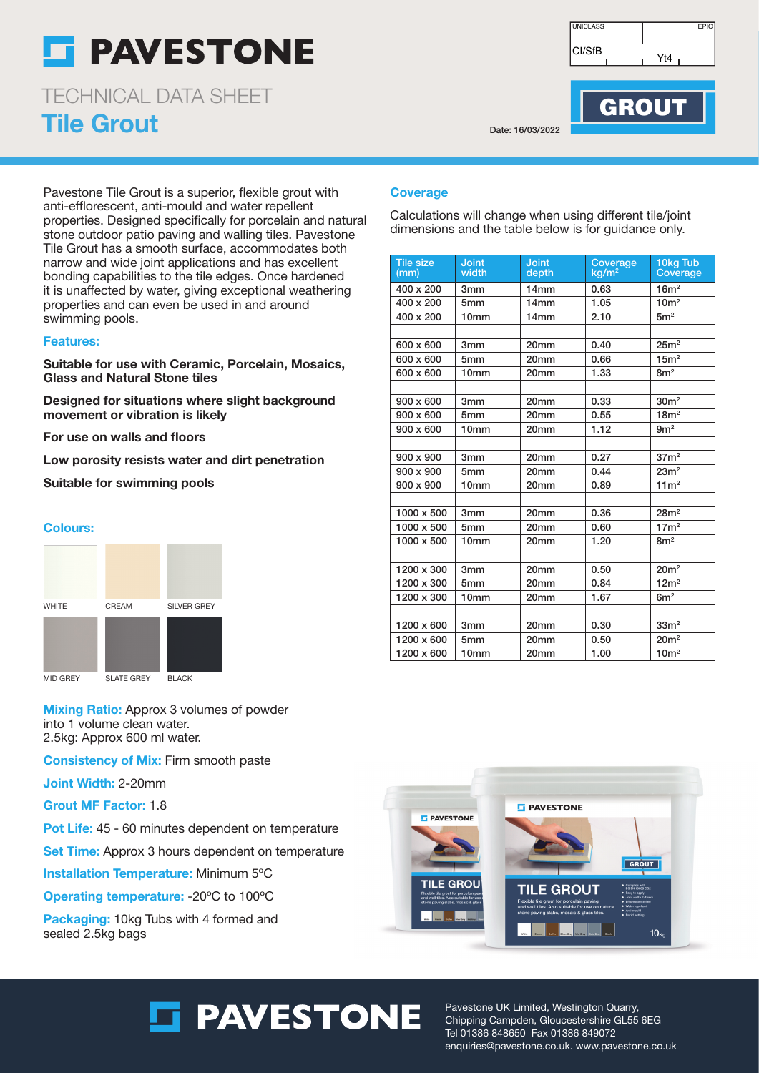## **F PAVESTONE**

Tile Grout TECHNICAL DATA SHEET

Pavestone Tile Grout is a superior, flexible grout with anti-efflorescent, anti-mould and water repellent properties. Designed specifically for porcelain and natural stone outdoor patio paving and walling tiles. Pavestone Tile Grout has a smooth surface, accommodates both narrow and wide joint applications and has excellent bonding capabilities to the tile edges. Once hardened it is unaffected by water, giving exceptional weathering properties and can even be used in and around swimming pools.

#### Features:

Suitable for use with Ceramic, Porcelain, Mosaics, Glass and Natural Stone tiles

Designed for situations where slight background movement or vibration is likely

For use on walls and floors

Low porosity resists water and dirt penetration

Suitable for swimming pools

#### Colours:



**Mixing Ratio:** Approx 3 volumes of powder into 1 volume clean water. 2.5kg: Approx 600 ml water.

Consistency of Mix: Firm smooth paste

Joint Width: 2-20mm

Grout MF Factor: 1.8

Pot Life: 45 - 60 minutes dependent on temperature

Set Time: Approx 3 hours dependent on temperature

Installation Temperature: Minimum 5ºC

Operating temperature: -20ºC to 100ºC

Packaging: 10kg Tubs with 4 formed and sealed 2.5kg bags

CI/SfB UNICLASS FPIC Yt4

Date: 16/03/2022

### **GROUT**

### **Coverage**

Calculations will change when using different tile/joint dimensions and the table below is for guidance only.

| <b>Tile size</b><br>(mm) | <b>Joint</b><br>width | <b>Joint</b><br>depth | Coverage<br>kq/m <sup>2</sup> | 10kg Tub<br>Coverage |
|--------------------------|-----------------------|-----------------------|-------------------------------|----------------------|
| 400 x 200                | 3mm                   | 14mm                  | 0.63                          | 16m <sup>2</sup>     |
| 400 x 200                | 5mm                   | 14 <sub>mm</sub>      | 1.05                          | 10 <sup>m²</sup>     |
| 400 x 200                | 10 <sub>mm</sub>      | 14mm                  | 2.10                          | 5m <sup>2</sup>      |
|                          |                       |                       |                               |                      |
| 600 x 600                | 3mm                   | 20mm                  | 0.40                          | 25m <sup>2</sup>     |
| 600 x 600                | 5mm                   | 20mm                  | 0.66                          | 15m <sup>2</sup>     |
| 600 x 600                | 10mm                  | 20mm                  | 1.33                          | 8m <sup>2</sup>      |
|                          |                       |                       |                               |                      |
| $900 \times 600$         | 3 <sub>mm</sub>       | 20 <sub>mm</sub>      | 0.33                          | 30m <sup>2</sup>     |
| 900 x 600                | 5mm                   | 20mm                  | 0.55                          | 18m <sup>2</sup>     |
| $900 \times 600$         | 10 <sub>mm</sub>      | 20mm                  | 1.12                          | 9m <sup>2</sup>      |
|                          |                       |                       |                               |                      |
| 900 x 900                | 3mm                   | 20mm                  | 0.27                          | 37 <sup>2</sup>      |
| $900 \times 900$         | 5mm                   | 20mm                  | 0.44                          | 23m <sup>2</sup>     |
| 900 x 900                | 10mm                  | 20mm                  | 0.89                          | 11 <sup>2</sup>      |
|                          |                       |                       |                               |                      |
| 1000 x 500               | 3mm                   | 20mm                  | 0.36                          | 28m <sup>2</sup>     |
| 1000 x 500               | 5mm                   | 20mm                  | 0.60                          | 17m <sup>2</sup>     |
| 1000 x 500               | 10 <sub>mm</sub>      | 20mm                  | 1.20                          | 8m <sup>2</sup>      |
|                          |                       |                       |                               |                      |
| 1200 x 300               | 3mm                   | 20mm                  | 0.50                          | 20m <sup>2</sup>     |
| 1200 x 300               | 5 <sub>mm</sub>       | 20mm                  | 0.84                          | 12m <sup>2</sup>     |
| 1200 x 300               | 10 <sub>mm</sub>      | 20mm                  | 1.67                          | 6m <sup>2</sup>      |
|                          |                       |                       |                               |                      |
| 1200 x 600               | 3mm                   | 20mm                  | 0.30                          | 33 <sup>2</sup>      |
| 1200 x 600               | 5mm                   | 20mm                  | 0.50                          | 20m <sup>2</sup>     |
| 1200 x 600               | 10 <sub>mm</sub>      | 20mm                  | 1.00                          | 10m <sup>2</sup>     |



### **S** PAVESTONE

Pavestone UK Limited, Westington Quarry, Chipping Campden, Gloucestershire GL55 6EG Tel 01386 848650 Fax 01386 849072 enquiries@pavestone.co.uk. www.pavestone.co.uk